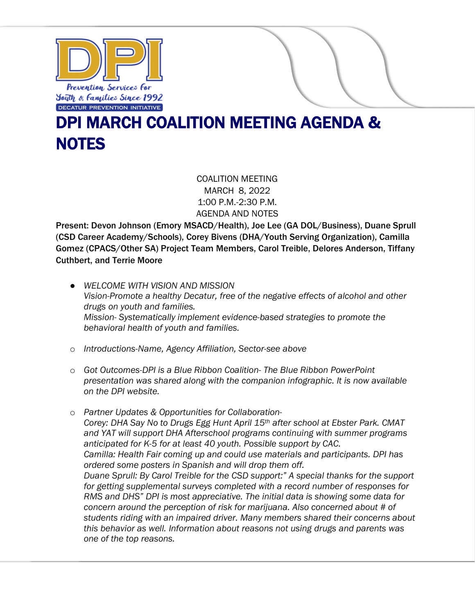

## DPI MARCH COALITION MEETING AGENDA & **NOTES**

COALITION MEETING MARCH 8, 2022 1:00 P.M.-2:30 P.M. AGENDA AND NOTES

Present: Devon Johnson (Emory MSACD/Health), Joe Lee (GA DOL/Business), Duane Sprull (CSD Career Academy/Schools), Corey Bivens (DHA/Youth Serving Organization), Camilla Gomez (CPACS/Other SA) Project Team Members, Carol Treible, Delores Anderson, Tiffany Cuthbert, and Terrie Moore

- *WELCOME WITH VISION AND MISSION Vision-Promote a healthy Decatur, free of the negative effects of alcohol and other drugs on youth and families. Mission- Systematically implement evidence-based strategies to promote the behavioral health of youth and families.*
- o *Introductions-Name, Agency Affiliation, Sector-see above*
- o *Got Outcomes-DPI is a Blue Ribbon Coalition- The Blue Ribbon PowerPoint presentation was shared along with the companion infographic. It is now available on the DPI website.*
- o *Partner Updates & Opportunities for Collaboration-Corey: DHA Say No to Drugs Egg Hunt April 15th after school at Ebster Park. CMAT and YAT will support DHA Afterschool programs continuing with summer programs anticipated for K-5 for at least 40 youth. Possible support by CAC. Camilla: Health Fair coming up and could use materials and participants. DPI has ordered some posters in Spanish and will drop them off. Duane Sprull: By Carol Treible for the CSD support:" A special thanks for the support for getting supplemental surveys completed with a record number of responses for RMS and DHS" DPI is most appreciative. The initial data is showing some data for concern around the perception of risk for marijuana. Also concerned about # of students riding with an impaired driver. Many members shared their concerns about this behavior as well. Information about reasons not using drugs and parents was one of the top reasons.*